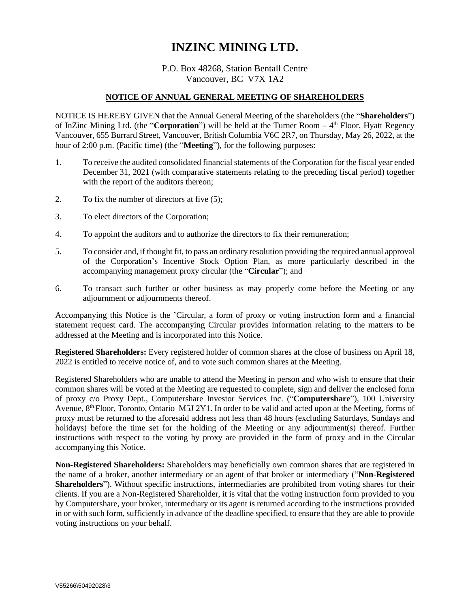## **INZINC MINING LTD.**

## P.O. Box 48268, Station Bentall Centre Vancouver, BC V7X 1A2

## **NOTICE OF ANNUAL GENERAL MEETING OF SHAREHOLDERS**

NOTICE IS HEREBY GIVEN that the Annual General Meeting of the shareholders (the "**Shareholders**") of InZinc Mining Ltd. (the "Corporation") will be held at the Turner Room - 4<sup>th</sup> Floor, Hyatt Regency Vancouver, 655 Burrard Street, Vancouver, British Columbia V6C 2R7, on Thursday, May 26, 2022, at the hour of 2:00 p.m. (Pacific time) (the "**Meeting**"), for the following purposes:

- 1. To receive the audited consolidated financial statements of the Corporation for the fiscal year ended December 31, 2021 (with comparative statements relating to the preceding fiscal period) together with the report of the auditors thereon;
- 2. To fix the number of directors at five (5);
- 3. To elect directors of the Corporation;
- 4. To appoint the auditors and to authorize the directors to fix their remuneration;
- 5. To consider and, if thought fit, to pass an ordinary resolution providing the required annual approval of the Corporation's Incentive Stock Option Plan, as more particularly described in the accompanying management proxy circular (the "**Circular**"); and
- 6. To transact such further or other business as may properly come before the Meeting or any adjournment or adjournments thereof.

Accompanying this Notice is the 'Circular, a form of proxy or voting instruction form and a financial statement request card. The accompanying Circular provides information relating to the matters to be addressed at the Meeting and is incorporated into this Notice.

**Registered Shareholders:** Every registered holder of common shares at the close of business on April 18, 2022 is entitled to receive notice of, and to vote such common shares at the Meeting.

Registered Shareholders who are unable to attend the Meeting in person and who wish to ensure that their common shares will be voted at the Meeting are requested to complete, sign and deliver the enclosed form of proxy c/o Proxy Dept., Computershare Investor Services Inc. ("**Computershare**"), 100 University Avenue, 8<sup>th</sup> Floor, Toronto, Ontario M5J 2Y1. In order to be valid and acted upon at the Meeting, forms of proxy must be returned to the aforesaid address not less than 48 hours (excluding Saturdays, Sundays and holidays) before the time set for the holding of the Meeting or any adjournment(s) thereof. Further instructions with respect to the voting by proxy are provided in the form of proxy and in the Circular accompanying this Notice.

**Non-Registered Shareholders:** Shareholders may beneficially own common shares that are registered in the name of a broker, another intermediary or an agent of that broker or intermediary ("**Non-Registered Shareholders**"). Without specific instructions, intermediaries are prohibited from voting shares for their clients. If you are a Non-Registered Shareholder, it is vital that the voting instruction form provided to you by Computershare, your broker, intermediary or its agent is returned according to the instructions provided in or with such form, sufficiently in advance of the deadline specified, to ensure that they are able to provide voting instructions on your behalf.